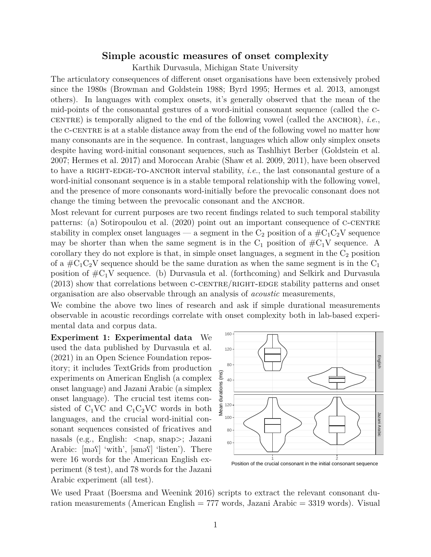## **Simple acoustic measures of onset complexity**

Karthik Durvasula, Michigan State University

The articulatory consequences of different onset organisations have been extensively probed since the 1980s (Browman and Goldstein 1988; Byrd 1995; Hermes et al. 2013, amongst others). In languages with complex onsets, it's generally observed that the mean of the mid-points of the consonantal gestures of a word-initial consonant sequence (called the ccentrally aligned to the end of the following vowel (called the ANCHOR), *i.e.*, the C-CENTRE is at a stable distance away from the end of the following vowel no matter how many consonants are in the sequence. In contrast, languages which allow only simplex onsets despite having word-initial consonant sequences, such as Tashlhiyt Berber (Goldstein et al. 2007; Hermes et al. 2017) and Moroccan Arabic (Shaw et al. 2009, 2011), have been observed to have a RIGHT-EDGE-TO-ANCHOR interval stability, *i.e.*, the last consonantal gesture of a word-initial consonant sequence is in a stable temporal relationship with the following vowel, and the presence of more consonants word-initially before the prevocalic consonant does not change the timing between the prevocalic consonant and the ANCHOR.

Most relevant for current purposes are two recent findings related to such temporal stability patterns: (a) Sotiropoulou et al. (2020) point out an important consequence of C-CENTRE stability in complex onset languages — a segment in the  $C_2$  position of a  $\#C_1C_2V$  sequence may be shorter than when the same segment is in the  $C_1$  position of  $\#C_1V$  sequence. A corollary they do not explore is that, in simple onset languages, a segment in the  $C_2$  position of a  $\#C_1C_2V$  sequence should be the same duration as when the same segment is in the  $C_1$ position of  $\#C_1V$  sequence. (b) Durvasula et al. (forthcoming) and Selkirk and Durvasula  $(2013)$  show that correlations between C-CENTRE/RIGHT-EDGE stability patterns and onset organisation are also observable through an analysis of *acoustic* measurements,

We combine the above two lines of research and ask if simple durational measurements observable in acoustic recordings correlate with onset complexity both in lab-based experimental data and corpus data.

**Experiment 1: Experimental data** We used the data published by Durvasula et al. (2021) in an Open Science Foundation repository; it includes TextGrids from production experiments on American English (a complex onset language) and Jazani Arabic (a simplex onset language). The crucial test items consisted of  $C_1VC$  and  $C_1C_2VC$  words in both languages, and the crucial word-initial consonant sequences consisted of fricatives and nasals (e.g., English:  $\langle$ nap, snap>; Jazani Arabic:  $[m<sub>0</sub>]<sup>1</sup> with', [sm<sub>0</sub>]<sup>1</sup>$ were 16 words for the American English experiment (8 test), and 78 words for the Jazani Arabic experiment (all test).



We used Praat (Boersma and Weenink 2016) scripts to extract the relevant consonant duration measurements (American English = 777 words, Jazani Arabic = 3319 words). Visual